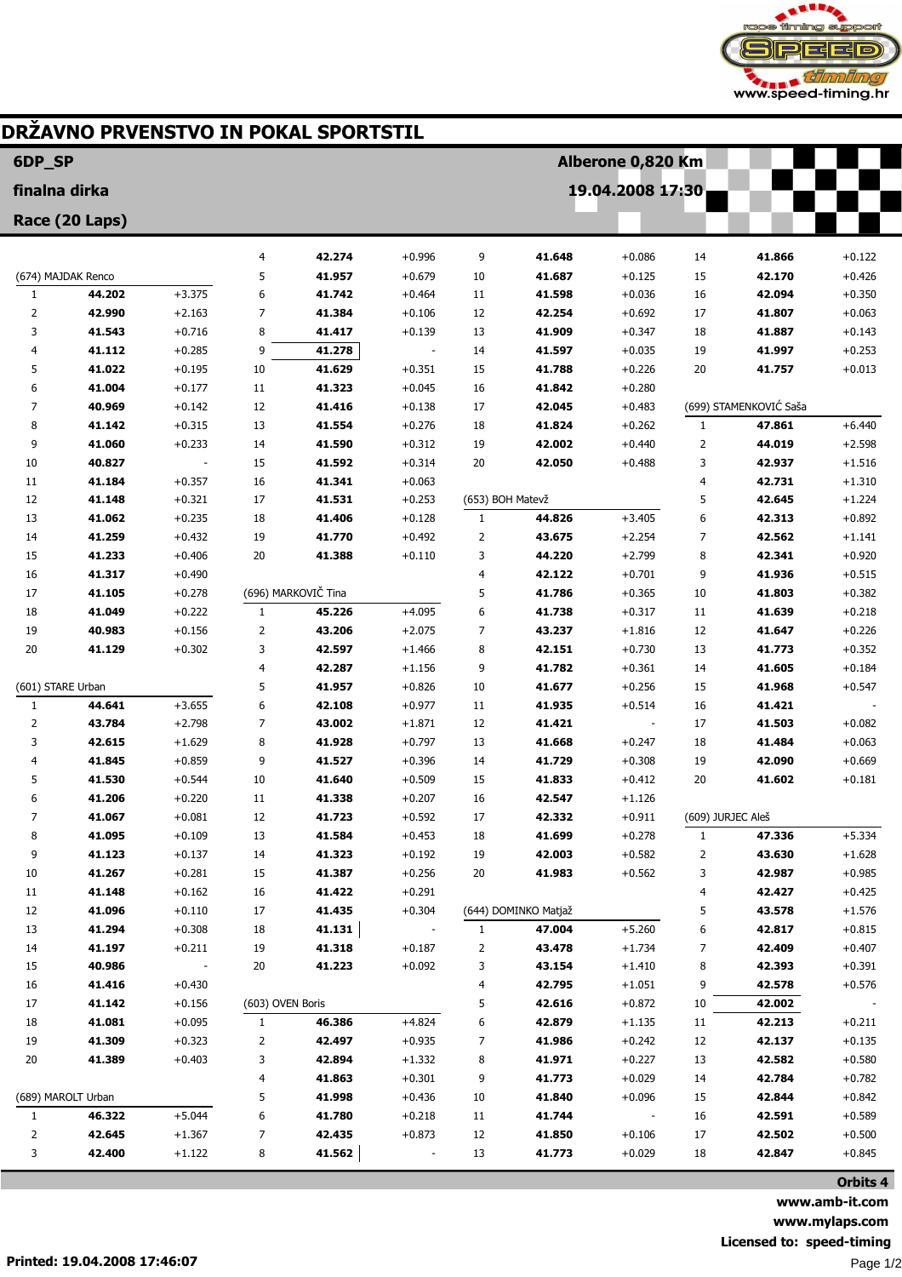

## DRŽAVNO PRVENSTVO IN POKAL SPORTSTIL

| 6DP_SP             |                  |                      |                  |                     |                      |                  |                      | Alberone 0,820 Km    |                   |                        |                      |
|--------------------|------------------|----------------------|------------------|---------------------|----------------------|------------------|----------------------|----------------------|-------------------|------------------------|----------------------|
| finalna dirka      |                  |                      |                  |                     |                      |                  |                      | 19.04.2008 17:30     |                   |                        |                      |
| Race (20 Laps)     |                  |                      |                  |                     |                      |                  |                      |                      |                   |                        |                      |
|                    |                  |                      |                  |                     |                      |                  |                      |                      |                   |                        |                      |
|                    |                  |                      | 4                | 42.274              | $+0.996$             | 9                | 41.648               | $+0.086$             | 14                | 41.866                 | $+0.122$             |
| (674) MAJDAK Renco |                  |                      | 5                | 41.957              | $+0.679$             | 10               | 41.687               | $+0.125$             | 15                | 42.170                 | $+0.426$             |
| $\mathbf{1}$<br>2  | 44.202<br>42.990 | $+3.375$<br>$+2.163$ | 6<br>7           | 41.742<br>41.384    | $+0.464$<br>$+0.106$ | 11<br>12         | 41.598<br>42.254     | $+0.036$<br>$+0.692$ | 16<br>17          | 42.094<br>41.807       | $+0.350$<br>$+0.063$ |
| 3                  | 41.543           | $+0.716$             | 8                | 41.417              | $+0.139$             | 13               | 41.909               | $+0.347$             | 18                | 41.887                 | $+0.143$             |
| 4                  | 41.112           | $+0.285$             | 9                | 41.278              |                      | 14               | 41.597               | $+0.035$             | 19                | 41.997                 | $+0.253$             |
| 5                  | 41.022           | $+0.195$             | 10               | 41.629              | $+0.351$             | 15               | 41.788               | $+0.226$             | 20                | 41.757                 | $+0.013$             |
| 6                  | 41.004           | $+0.177$             | 11               | 41.323              | $+0.045$             | 16               | 41.842               | $+0.280$             |                   |                        |                      |
| 7                  | 40.969           | $+0.142$             | 12               | 41.416              | $+0.138$             | 17               | 42.045               | $+0.483$             |                   | (699) STAMENKOVIĆ Saša |                      |
| 8                  | 41.142           | $+0.315$             | 13               | 41.554              | $+0.276$             | 18               | 41.824               | $+0.262$             | 1                 | 47.861                 | $+6.440$             |
| 9                  | 41.060           | $+0.233$             | 14               | 41.590              | $+0.312$             | 19               | 42.002               | $+0.440$             | $\overline{2}$    | 44.019                 | $+2.598$             |
| 10                 | 40.827           |                      | 15               | 41.592              | $+0.314$             | 20               | 42.050               | $+0.488$             | 3                 | 42.937                 | $+1.516$             |
| 11                 | 41.184           | $+0.357$             | 16               | 41.341              | $+0.063$             |                  |                      |                      | 4                 | 42.731                 | $+1.310$             |
| 12                 | 41.148           | $+0.321$             | 17               | 41.531              | $+0.253$             | (653) BOH Matevž |                      |                      | 5                 | 42.645                 | $+1.224$             |
| 13                 | 41.062           | $+0.235$             | 18               | 41.406              | $+0.128$             | $\mathbf{1}$     | 44.826               | $+3.405$             | 6                 | 42.313                 | $+0.892$             |
| 14                 | 41.259           | $+0.432$             | 19               | 41.770              | $+0.492$             | 2                | 43.675               | $+2.254$             | 7                 | 42.562                 | $+1.141$             |
| 15                 | 41.233           | $+0.406$             | 20               | 41.388              | $+0.110$             | 3                | 44.220               | $+2.799$             | 8                 | 42.341                 | $+0.920$             |
| 16                 | 41.317           | $+0.490$             |                  |                     |                      | 4                | 42.122               | $+0.701$             | 9                 | 41.936                 | $+0.515$             |
| 17                 | 41.105           | $+0.278$             |                  | (696) MARKOVIČ Tina |                      | 5                | 41.786               | $+0.365$             | 10                | 41.803                 | $+0.382$             |
| 18                 | 41.049<br>40.983 | $+0.222$             | 1                | 45.226<br>43.206    | $+4.095$<br>$+2.075$ | 6                | 41.738               | $+0.317$             | 11<br>12          | 41.639                 | $+0.218$<br>$+0.226$ |
| 19<br>20           | 41.129           | $+0.156$<br>$+0.302$ | 2<br>3           | 42.597              | $+1.466$             | 7<br>8           | 43.237<br>42.151     | $+1.816$<br>$+0.730$ | 13                | 41.647<br>41.773       | $+0.352$             |
|                    |                  |                      | 4                | 42.287              | $+1.156$             | 9                | 41.782               | $+0.361$             | 14                | 41.605                 | $+0.184$             |
| (601) STARE Urban  |                  | 5                    | 41.957           | $+0.826$            | 10                   | 41.677           | $+0.256$             | 15                   | 41.968            | $+0.547$               |                      |
| $\mathbf{1}$       | 44.641           | $+3.655$             | 6                | 42.108              | $+0.977$             | 11               | 41.935               | $+0.514$             | 16                | 41.421                 |                      |
| 2                  | 43.784           | $+2.798$             | 7                | 43.002              | $+1.871$             | 12               | 41.421               |                      | 17                | 41.503                 | $+0.082$             |
| 3                  | 42.615           | $+1.629$             | 8                | 41.928              | $+0.797$             | 13               | 41.668               | $+0.247$             | 18                | 41.484                 | $+0.063$             |
| 4                  | 41.845           | $+0.859$             | 9                | 41.527              | $+0.396$             | 14               | 41.729               | $+0.308$             | 19                | 42.090                 | $+0.669$             |
| 5                  | 41.530           | $+0.544$             | 10               | 41.640              | $+0.509$             | 15               | 41.833               | $+0.412$             | 20                | 41.602                 | $+0.181$             |
| 6                  | 41.206           | $+0.220$             | 11               | 41.338              | $+0.207$             | 16               | 42.547               | $+1.126$             |                   |                        |                      |
| 7                  | 41.067           | $+0.081$             | 12               | 41.723              | $+0.592$             | 17               | 42.332               | $+0.911$             | (609) JURJEC Aleš |                        |                      |
| 8                  | 41.095           | $+0.109$             | 13               | 41.584              | $+0.453$             | 18               | 41.699               | $+0.278$             | 1                 | 47.336                 | $+5.334$             |
| 9                  | 41.123           | $+0.137$             | 14               | 41.323              | $+0.192$             | 19               | 42.003               | $+0.582$             | 2                 | 43.630                 | $+1.628$             |
| 10                 | 41.267           | $+0.281$             | 15               | 41.387              | $+0.256$             | 20               | 41.983               | $+0.562$             | 3                 | 42.987                 | $+0.985$             |
| 11                 | 41.148           | $+0.162$             | 16               | 41.422              | $+0.291$             |                  |                      |                      | 4                 | 42.427                 | $+0.425$             |
| 12                 | 41.096           | $+0.110$             | 17               | 41.435              | $+0.304$             |                  | (644) DOMINKO Matjaž |                      | 5                 | 43.578                 | $+1.576$             |
| 13                 | 41.294           | $+0.308$             | 18               | 41.131              |                      | 1                | 47.004               | $+5.260$             | 6                 | 42.817                 | $+0.815$             |
| 14                 | 41.197           | $+0.211$             | 19               | 41.318              | $+0.187$             | 2                | 43.478               | $+1.734$             | 7                 | 42.409                 | $+0.407$             |
| 15                 | 40.986           |                      | 20               | 41.223              | $+0.092$             | 3                | 43.154               | $+1.410$             | 8                 | 42.393                 | $+0.391$             |
| 16<br>17           | 41.416<br>41.142 | $+0.430$<br>$+0.156$ | (603) OVEN Boris |                     |                      | 4<br>5           | 42.795<br>42.616     | $+1.051$<br>$+0.872$ | 9<br>10           | 42.578<br>42.002       | $+0.576$             |
| 18                 | 41.081           | $+0.095$             | $\mathbf{1}$     | 46.386              | $+4.824$             | 6                | 42.879               | $+1.135$             | 11                | 42.213                 | $+0.211$             |
| 19                 | 41.309           | $+0.323$             | 2                | 42.497              | $+0.935$             | 7                | 41.986               | $+0.242$             | 12                | 42.137                 | $+0.135$             |
| 20                 | 41.389           | $+0.403$             | 3                | 42.894              | $+1.332$             | 8                | 41.971               | $+0.227$             | 13                | 42.582                 | $+0.580$             |
|                    |                  |                      | 4                | 41.863              | $+0.301$             | 9                | 41.773               | $+0.029$             | 14                | 42.784                 | $+0.782$             |
| (689) MAROLT Urban |                  | 5                    | 41.998           | $+0.436$            | 10                   | 41.840           | $+0.096$             | 15                   | 42.844            | $+0.842$               |                      |
| $\mathbf{1}$       | 46.322           | $+5.044$             | 6                | 41.780              | $+0.218$             | 11               | 41.744               |                      | 16                | 42.591                 | $+0.589$             |
| 2                  | 42.645           | $+1.367$             | 7                | 42.435              | $+0.873$             | 12               | 41.850               | $+0.106$             | 17                | 42.502                 | $+0.500$             |
| 3                  | 42.400           | $+1.122$             | 8                | 41.562              |                      | 13               | 41.773               | $+0.029$             | 18                | 42.847                 | $+0.845$             |

Orbits 4 www.amb-it.com www.mylaps.com Licensed to: speed-timing Page 1/2